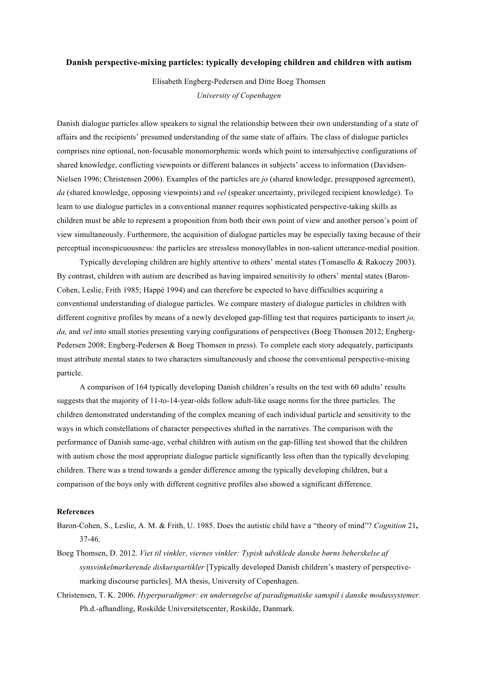## **Danish perspective-mixing particles: typically developing children and children with autism**

Elisabeth Engberg-Pedersen and Ditte Boeg Thomsen *University of Copenhagen*

Danish dialogue particles allow speakers to signal the relationship between their own understanding of a state of affairs and the recipients' presumed understanding of the same state of affairs. The class of dialogue particles comprises nine optional, non-focusable monomorphemic words which point to intersubjective configurations of shared knowledge, conflicting viewpoints or different balances in subjects' access to information (Davidsen-Nielsen 1996; Christensen 2006). Examples of the particles are *jo* (shared knowledge, presupposed agreement), *da* (shared knowledge, opposing viewpoints) and *vel* (speaker uncertainty, privileged recipient knowledge). To learn to use dialogue particles in a conventional manner requires sophisticated perspective-taking skills as children must be able to represent a proposition from both their own point of view and another person's point of view simultaneously. Furthermore, the acquisition of dialogue particles may be especially taxing because of their perceptual inconspicuousness: the particles are stressless monosyllables in non-salient utterance-medial position.

Typically developing children are highly attentive to others' mental states (Tomasello & Rakoczy 2003). By contrast, children with autism are described as having impaired sensitivity to others' mental states (Baron-Cohen, Leslie, Frith 1985; Happé 1994) and can therefore be expected to have difficulties acquiring a conventional understanding of dialogue particles. We compare mastery of dialogue particles in children with different cognitive profiles by means of a newly developed gap-filling test that requires participants to insert *jo, da, and vel into small stories presenting varying configurations of perspectives (Boeg Thomsen 2012; Engberg-*Pedersen 2008; Engberg-Pedersen & Boeg Thomsen in press). To complete each story adequately, participants must attribute mental states to two characters simultaneously and choose the conventional perspective-mixing particle.

A comparison of 164 typically developing Danish children's results on the test with 60 adults' results suggests that the majority of 11-to-14-year-olds follow adult-like usage norms for the three particles. The children demonstrated understanding of the complex meaning of each individual particle and sensitivity to the ways in which constellations of character perspectives shifted in the narratives. The comparison with the performance of Danish same-age, verbal children with autism on the gap-filling test showed that the children with autism chose the most appropriate dialogue particle significantly less often than the typically developing children. There was a trend towards a gender difference among the typically developing children, but a comparison of the boys only with different cognitive profiles also showed a significant difference.

## **References**

- Baron-Cohen, S., Leslie, A. M. & Frith, U. 1985. Does the autistic child have a "theory of mind"? *Cognition* 21**,**  37-46.
- Boeg Thomsen, D. 2012. *Viet til vinkler, viernes vinkler: Typisk udviklede danske børns beherskelse af synsvinkelmarkerende diskurspartikler* [Typically developed Danish children's mastery of perspectivemarking discourse particles]. MA thesis, University of Copenhagen.
- Christensen, T. K. 2006. *Hyperparadigmer: en undersøgelse af paradigmatiske samspil i danske modussystemer.* Ph.d.-afhandling, Roskilde Universitetscenter, Roskilde, Danmark.